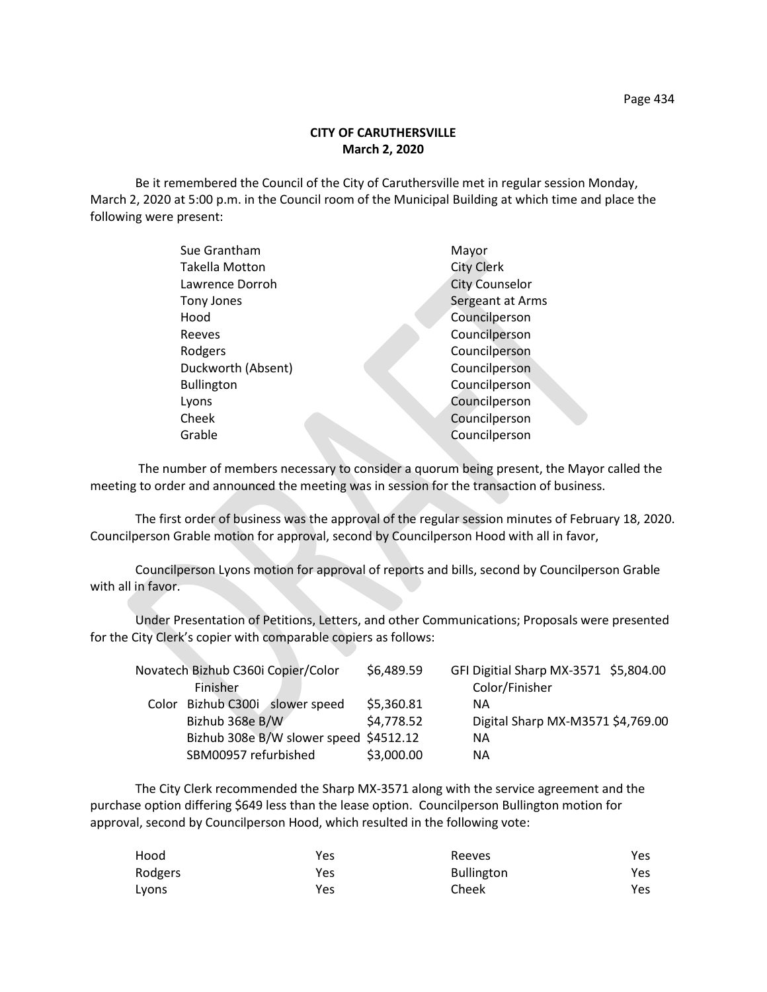Be it remembered the Council of the City of Caruthersville met in regular session Monday, March 2, 2020 at 5:00 p.m. in the Council room of the Municipal Building at which time and place the following were present:

| Sue Grantham          | Mayor                 |
|-----------------------|-----------------------|
| <b>Takella Motton</b> | <b>City Clerk</b>     |
| Lawrence Dorroh       | <b>City Counselor</b> |
| Tony Jones            | Sergeant at Arms      |
| Hood                  | Councilperson         |
| Reeves                | Councilperson         |
| Rodgers               | Councilperson         |
| Duckworth (Absent)    | Councilperson         |
| <b>Bullington</b>     | Councilperson         |
| Lyons                 | Councilperson         |
| Cheek                 | Councilperson         |
| Grable                | Councilperson         |
|                       |                       |

 The number of members necessary to consider a quorum being present, the Mayor called the meeting to order and announced the meeting was in session for the transaction of business.

The first order of business was the approval of the regular session minutes of February 18, 2020. Councilperson Grable motion for approval, second by Councilperson Hood with all in favor,

Councilperson Lyons motion for approval of reports and bills, second by Councilperson Grable with all in favor.

Under Presentation of Petitions, Letters, and other Communications; Proposals were presented for the City Clerk's copier with comparable copiers as follows:

| Novatech Bizhub C360i Copier/Color     | \$6,489.59 | GFI Digitial Sharp MX-3571 \$5,804.00 |
|----------------------------------------|------------|---------------------------------------|
| Finisher                               |            | Color/Finisher                        |
| Color Bizhub C300i slower speed        | \$5,360.81 | ΝA                                    |
| Bizhub 368e B/W                        | \$4,778.52 | Digital Sharp MX-M3571 \$4,769.00     |
| Bizhub 308e B/W slower speed \$4512.12 |            | NА                                    |
| SBM00957 refurbished                   | \$3,000.00 | NА                                    |

The City Clerk recommended the Sharp MX-3571 along with the service agreement and the purchase option differing \$649 less than the lease option. Councilperson Bullington motion for approval, second by Councilperson Hood, which resulted in the following vote:

| Hood    | Yes | Reeves            | Yes |
|---------|-----|-------------------|-----|
| Rodgers | Yes | <b>Bullington</b> | Yes |
| Lyons   | Yes | Cheek             | Yes |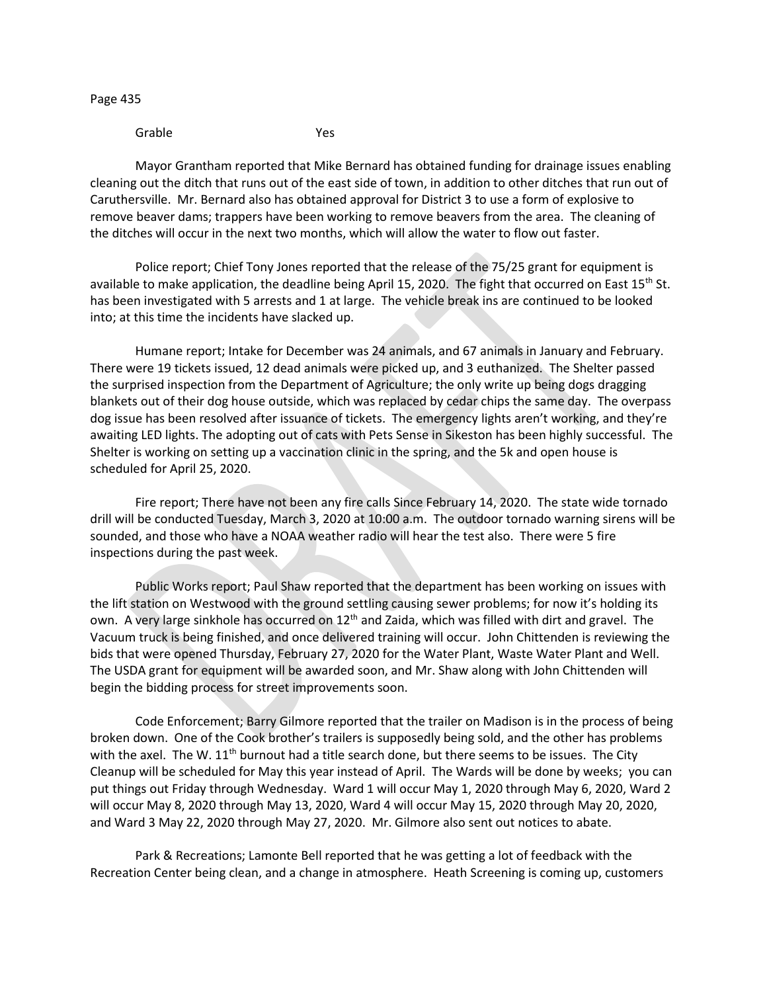Page 435

Grable Yes

Mayor Grantham reported that Mike Bernard has obtained funding for drainage issues enabling cleaning out the ditch that runs out of the east side of town, in addition to other ditches that run out of Caruthersville. Mr. Bernard also has obtained approval for District 3 to use a form of explosive to remove beaver dams; trappers have been working to remove beavers from the area. The cleaning of the ditches will occur in the next two months, which will allow the water to flow out faster.

Police report; Chief Tony Jones reported that the release of the 75/25 grant for equipment is available to make application, the deadline being April 15, 2020. The fight that occurred on East  $15^{th}$  St. has been investigated with 5 arrests and 1 at large. The vehicle break ins are continued to be looked into; at this time the incidents have slacked up.

Humane report; Intake for December was 24 animals, and 67 animals in January and February. There were 19 tickets issued, 12 dead animals were picked up, and 3 euthanized. The Shelter passed the surprised inspection from the Department of Agriculture; the only write up being dogs dragging blankets out of their dog house outside, which was replaced by cedar chips the same day. The overpass dog issue has been resolved after issuance of tickets. The emergency lights aren't working, and they're awaiting LED lights. The adopting out of cats with Pets Sense in Sikeston has been highly successful. The Shelter is working on setting up a vaccination clinic in the spring, and the 5k and open house is scheduled for April 25, 2020.

Fire report; There have not been any fire calls Since February 14, 2020. The state wide tornado drill will be conducted Tuesday, March 3, 2020 at 10:00 a.m. The outdoor tornado warning sirens will be sounded, and those who have a NOAA weather radio will hear the test also. There were 5 fire inspections during the past week.

Public Works report; Paul Shaw reported that the department has been working on issues with the lift station on Westwood with the ground settling causing sewer problems; for now it's holding its own. A very large sinkhole has occurred on 12<sup>th</sup> and Zaida, which was filled with dirt and gravel. The Vacuum truck is being finished, and once delivered training will occur. John Chittenden is reviewing the bids that were opened Thursday, February 27, 2020 for the Water Plant, Waste Water Plant and Well. The USDA grant for equipment will be awarded soon, and Mr. Shaw along with John Chittenden will begin the bidding process for street improvements soon.

Code Enforcement; Barry Gilmore reported that the trailer on Madison is in the process of being broken down. One of the Cook brother's trailers is supposedly being sold, and the other has problems with the axel. The W.  $11<sup>th</sup>$  burnout had a title search done, but there seems to be issues. The City Cleanup will be scheduled for May this year instead of April. The Wards will be done by weeks; you can put things out Friday through Wednesday. Ward 1 will occur May 1, 2020 through May 6, 2020, Ward 2 will occur May 8, 2020 through May 13, 2020, Ward 4 will occur May 15, 2020 through May 20, 2020, and Ward 3 May 22, 2020 through May 27, 2020. Mr. Gilmore also sent out notices to abate.

Park & Recreations; Lamonte Bell reported that he was getting a lot of feedback with the Recreation Center being clean, and a change in atmosphere. Heath Screening is coming up, customers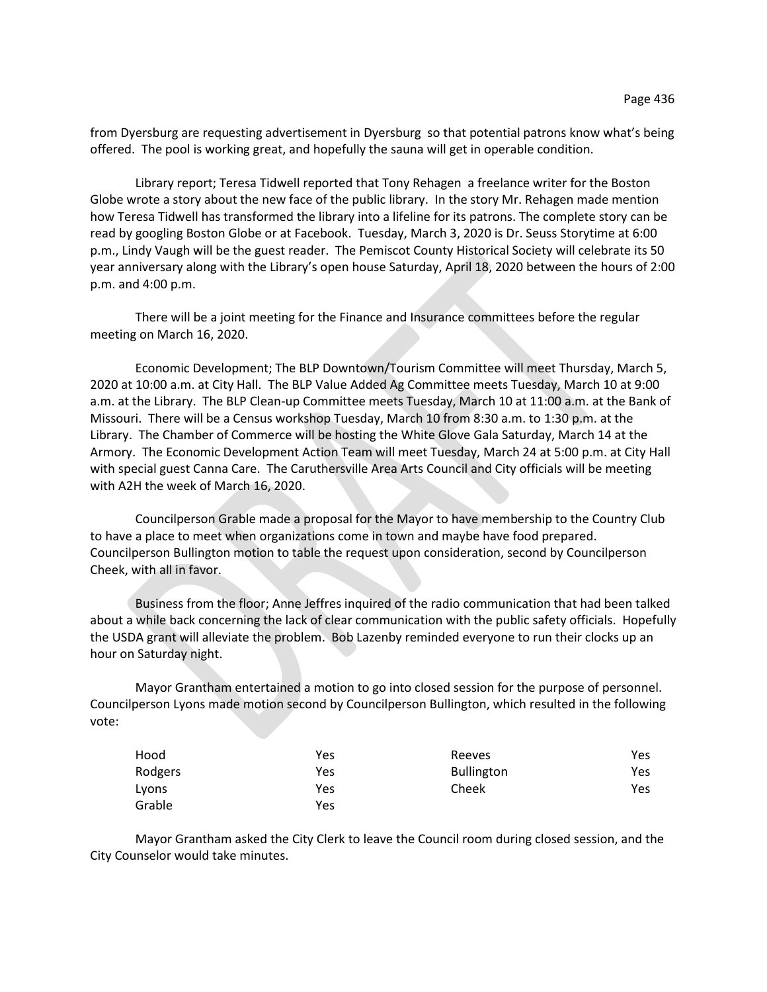from Dyersburg are requesting advertisement in Dyersburg so that potential patrons know what's being offered. The pool is working great, and hopefully the sauna will get in operable condition.

Library report; Teresa Tidwell reported that Tony Rehagen a freelance writer for the Boston Globe wrote a story about the new face of the public library. In the story Mr. Rehagen made mention how Teresa Tidwell has transformed the library into a lifeline for its patrons. The complete story can be read by googling Boston Globe or at Facebook. Tuesday, March 3, 2020 is Dr. Seuss Storytime at 6:00 p.m., Lindy Vaugh will be the guest reader. The Pemiscot County Historical Society will celebrate its 50 year anniversary along with the Library's open house Saturday, April 18, 2020 between the hours of 2:00 p.m. and 4:00 p.m.

There will be a joint meeting for the Finance and Insurance committees before the regular meeting on March 16, 2020.

Economic Development; The BLP Downtown/Tourism Committee will meet Thursday, March 5, 2020 at 10:00 a.m. at City Hall. The BLP Value Added Ag Committee meets Tuesday, March 10 at 9:00 a.m. at the Library. The BLP Clean-up Committee meets Tuesday, March 10 at 11:00 a.m. at the Bank of Missouri. There will be a Census workshop Tuesday, March 10 from 8:30 a.m. to 1:30 p.m. at the Library. The Chamber of Commerce will be hosting the White Glove Gala Saturday, March 14 at the Armory. The Economic Development Action Team will meet Tuesday, March 24 at 5:00 p.m. at City Hall with special guest Canna Care. The Caruthersville Area Arts Council and City officials will be meeting with A2H the week of March 16, 2020.

Councilperson Grable made a proposal for the Mayor to have membership to the Country Club to have a place to meet when organizations come in town and maybe have food prepared. Councilperson Bullington motion to table the request upon consideration, second by Councilperson Cheek, with all in favor.

Business from the floor; Anne Jeffres inquired of the radio communication that had been talked about a while back concerning the lack of clear communication with the public safety officials. Hopefully the USDA grant will alleviate the problem. Bob Lazenby reminded everyone to run their clocks up an hour on Saturday night.

Mayor Grantham entertained a motion to go into closed session for the purpose of personnel. Councilperson Lyons made motion second by Councilperson Bullington, which resulted in the following vote:

| Hood    | Yes | Reeves            | Yes |
|---------|-----|-------------------|-----|
| Rodgers | Yes | <b>Bullington</b> | Yes |
| Lyons   | Yes | Cheek             | Yes |
| Grable  | Yes |                   |     |

Mayor Grantham asked the City Clerk to leave the Council room during closed session, and the City Counselor would take minutes.